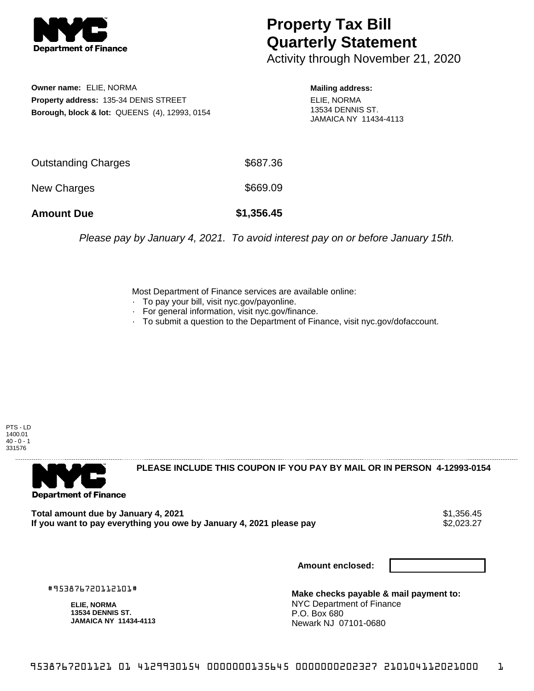

## **Property Tax Bill Quarterly Statement**

Activity through November 21, 2020

**Owner name:** ELIE, NORMA **Property address:** 135-34 DENIS STREET **Borough, block & lot:** QUEENS (4), 12993, 0154

**Mailing address:** ELIE, NORMA 13534 DENNIS ST. JAMAICA NY 11434-4113

| <b>Amount Due</b>   | \$1,356.45 |
|---------------------|------------|
| New Charges         | \$669.09   |
| Outstanding Charges | \$687.36   |

Please pay by January 4, 2021. To avoid interest pay on or before January 15th.

Most Department of Finance services are available online:

- · To pay your bill, visit nyc.gov/payonline.
- For general information, visit nyc.gov/finance.
- · To submit a question to the Department of Finance, visit nyc.gov/dofaccount.

PTS - LD 1400.01  $40 - 0 - 1$ 331576



**PLEASE INCLUDE THIS COUPON IF YOU PAY BY MAIL OR IN PERSON 4-12993-0154** 

**Total amount due by January 4, 2021**<br>If you want to pay everything you owe by January 4, 2021 please pay **1998** \$2,023.27 If you want to pay everything you owe by January 4, 2021 please pay

**Amount enclosed:**

#953876720112101#

**ELIE, NORMA 13534 DENNIS ST. JAMAICA NY 11434-4113**

**Make checks payable & mail payment to:** NYC Department of Finance P.O. Box 680 Newark NJ 07101-0680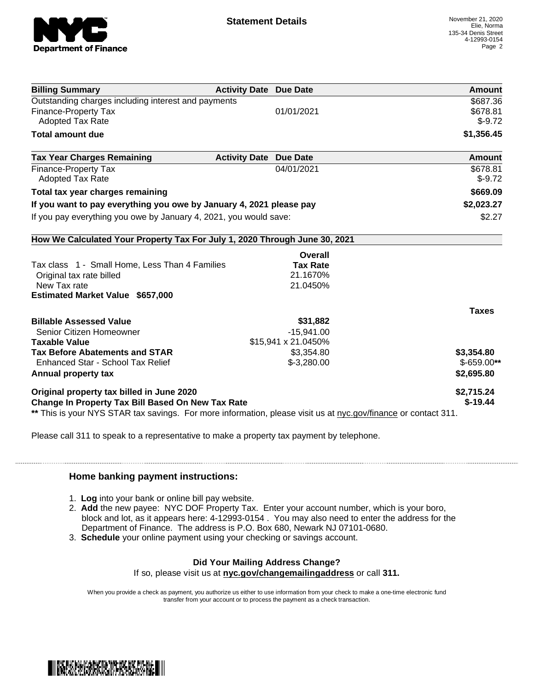

| <b>Billing Summary</b>                                                                                         | <b>Activity Date Due Date</b> | Amount        |
|----------------------------------------------------------------------------------------------------------------|-------------------------------|---------------|
| Outstanding charges including interest and payments                                                            |                               | \$687.36      |
| <b>Finance-Property Tax</b>                                                                                    | 01/01/2021                    | \$678.81      |
| <b>Adopted Tax Rate</b>                                                                                        |                               | $$-9.72$      |
| <b>Total amount due</b>                                                                                        |                               | \$1,356.45    |
| <b>Tax Year Charges Remaining</b>                                                                              | <b>Activity Date Due Date</b> | <b>Amount</b> |
| <b>Finance-Property Tax</b>                                                                                    | 04/01/2021                    | \$678.81      |
| <b>Adopted Tax Rate</b>                                                                                        |                               | $$-9.72$      |
| Total tax year charges remaining                                                                               |                               | \$669.09      |
| If you want to pay everything you owe by January 4, 2021 please pay                                            |                               | \$2,023.27    |
| If you pay everything you owe by January 4, 2021, you would save:                                              |                               | \$2.27        |
| How We Calculated Your Property Tax For July 1, 2020 Through June 30, 2021                                     |                               |               |
|                                                                                                                | Overall                       |               |
| Tax class 1 - Small Home, Less Than 4 Families                                                                 | <b>Tax Rate</b>               |               |
| Original tax rate billed                                                                                       | 21.1670%                      |               |
| New Tax rate                                                                                                   | 21.0450%                      |               |
| <b>Estimated Market Value \$657,000</b>                                                                        |                               |               |
|                                                                                                                |                               | <b>Taxes</b>  |
| <b>Billable Assessed Value</b>                                                                                 | \$31,882                      |               |
| Senior Citizen Homeowner                                                                                       | $-15,941.00$                  |               |
| <b>Taxable Value</b>                                                                                           | \$15,941 x 21.0450%           |               |
| <b>Tax Before Abatements and STAR</b>                                                                          | \$3,354.80                    | \$3,354.80    |
| Enhanced Star - School Tax Relief                                                                              | $$-3,280.00$                  | $$-659.00**$  |
| Annual property tax                                                                                            |                               | \$2,695.80    |
| Original property tax billed in June 2020                                                                      |                               | \$2,715.24    |
| <b>Change In Property Tax Bill Based On New Tax Rate</b>                                                       |                               | $$-19.44$     |
| ** This is your NYS STAR tax savings. For more information, please visit us at nyc.gov/finance or contact 311. |                               |               |

Please call 311 to speak to a representative to make a property tax payment by telephone.

## **Home banking payment instructions:**

- 1. **Log** into your bank or online bill pay website.
- 2. **Add** the new payee: NYC DOF Property Tax. Enter your account number, which is your boro, block and lot, as it appears here: 4-12993-0154 . You may also need to enter the address for the Department of Finance. The address is P.O. Box 680, Newark NJ 07101-0680.
- 3. **Schedule** your online payment using your checking or savings account.

## **Did Your Mailing Address Change?**

If so, please visit us at **nyc.gov/changemailingaddress** or call **311.**

When you provide a check as payment, you authorize us either to use information from your check to make a one-time electronic fund transfer from your account or to process the payment as a check transaction.